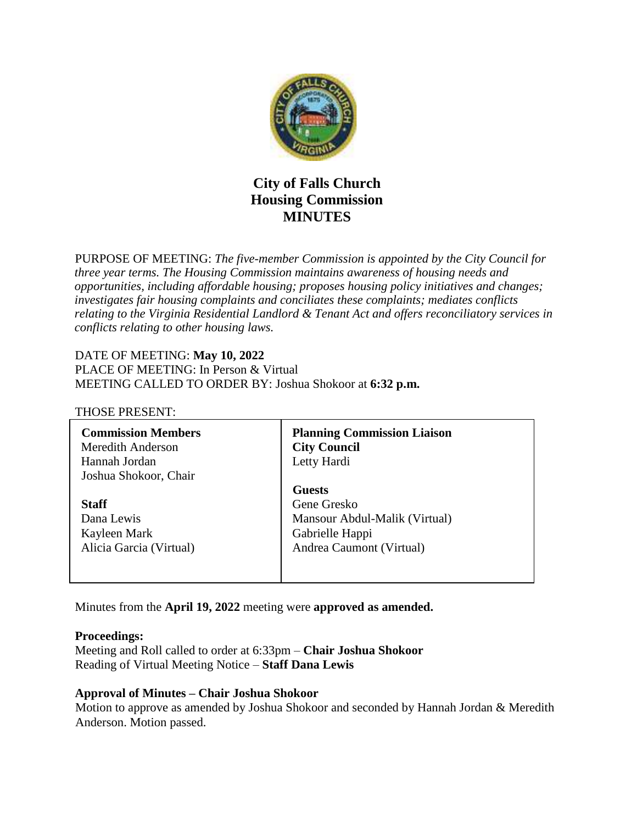

# **City of Falls Church Housing Commission MINUTES**

PURPOSE OF MEETING: *The five-member Commission is appointed by the City Council for three year terms. The Housing Commission maintains awareness of housing needs and opportunities, including affordable housing; proposes housing policy initiatives and changes; investigates fair housing complaints and conciliates these complaints; mediates conflicts relating to the Virginia Residential Landlord & Tenant Act and offers reconciliatory services in conflicts relating to other housing laws.* 

#### DATE OF MEETING: **May 10, 2022**

PLACE OF MEETING: In Person & Virtual MEETING CALLED TO ORDER BY: Joshua Shokoor at **6:32 p.m.**

#### THOSE PRESENT:

| <b>Commission Members</b><br>Meredith Anderson<br>Hannah Jordan<br>Joshua Shokoor, Chair | <b>Planning Commission Liaison</b><br><b>City Council</b><br>Letty Hardi |
|------------------------------------------------------------------------------------------|--------------------------------------------------------------------------|
|                                                                                          | <b>Guests</b>                                                            |
| <b>Staff</b>                                                                             | Gene Gresko                                                              |
| Dana Lewis                                                                               | Mansour Abdul-Malik (Virtual)                                            |
| Kayleen Mark                                                                             | Gabrielle Happi                                                          |
| Alicia Garcia (Virtual)                                                                  | Andrea Caumont (Virtual)                                                 |
|                                                                                          |                                                                          |
|                                                                                          |                                                                          |

Minutes from the **April 19, 2022** meeting were **approved as amended.**

#### **Proceedings:**

Meeting and Roll called to order at 6:33pm – **Chair Joshua Shokoor** Reading of Virtual Meeting Notice – **Staff Dana Lewis**

#### **Approval of Minutes – Chair Joshua Shokoor**

Motion to approve as amended by Joshua Shokoor and seconded by Hannah Jordan & Meredith Anderson. Motion passed.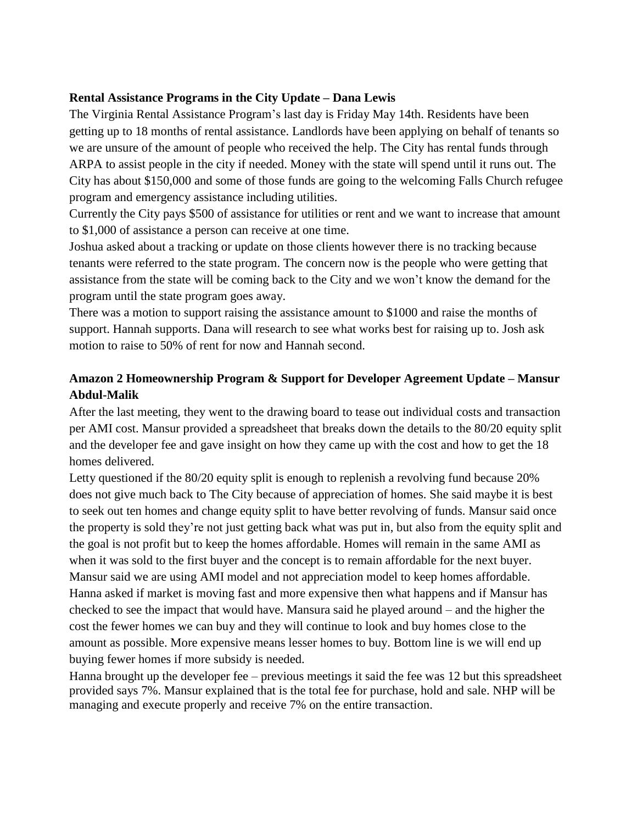#### **Rental Assistance Programs in the City Update – Dana Lewis**

The Virginia Rental Assistance Program's last day is Friday May 14th. Residents have been getting up to 18 months of rental assistance. Landlords have been applying on behalf of tenants so we are unsure of the amount of people who received the help. The City has rental funds through ARPA to assist people in the city if needed. Money with the state will spend until it runs out. The City has about \$150,000 and some of those funds are going to the welcoming Falls Church refugee program and emergency assistance including utilities.

Currently the City pays \$500 of assistance for utilities or rent and we want to increase that amount to \$1,000 of assistance a person can receive at one time.

Joshua asked about a tracking or update on those clients however there is no tracking because tenants were referred to the state program. The concern now is the people who were getting that assistance from the state will be coming back to the City and we won't know the demand for the program until the state program goes away.

There was a motion to support raising the assistance amount to \$1000 and raise the months of support. Hannah supports. Dana will research to see what works best for raising up to. Josh ask motion to raise to 50% of rent for now and Hannah second.

# **Amazon 2 Homeownership Program & Support for Developer Agreement Update – Mansur Abdul-Malik**

After the last meeting, they went to the drawing board to tease out individual costs and transaction per AMI cost. Mansur provided a spreadsheet that breaks down the details to the 80/20 equity split and the developer fee and gave insight on how they came up with the cost and how to get the 18 homes delivered.

Letty questioned if the 80/20 equity split is enough to replenish a revolving fund because 20% does not give much back to The City because of appreciation of homes. She said maybe it is best to seek out ten homes and change equity split to have better revolving of funds. Mansur said once the property is sold they're not just getting back what was put in, but also from the equity split and the goal is not profit but to keep the homes affordable. Homes will remain in the same AMI as when it was sold to the first buyer and the concept is to remain affordable for the next buyer. Mansur said we are using AMI model and not appreciation model to keep homes affordable. Hanna asked if market is moving fast and more expensive then what happens and if Mansur has checked to see the impact that would have. Mansura said he played around – and the higher the cost the fewer homes we can buy and they will continue to look and buy homes close to the amount as possible. More expensive means lesser homes to buy. Bottom line is we will end up buying fewer homes if more subsidy is needed.

Hanna brought up the developer fee – previous meetings it said the fee was 12 but this spreadsheet provided says 7%. Mansur explained that is the total fee for purchase, hold and sale. NHP will be managing and execute properly and receive 7% on the entire transaction.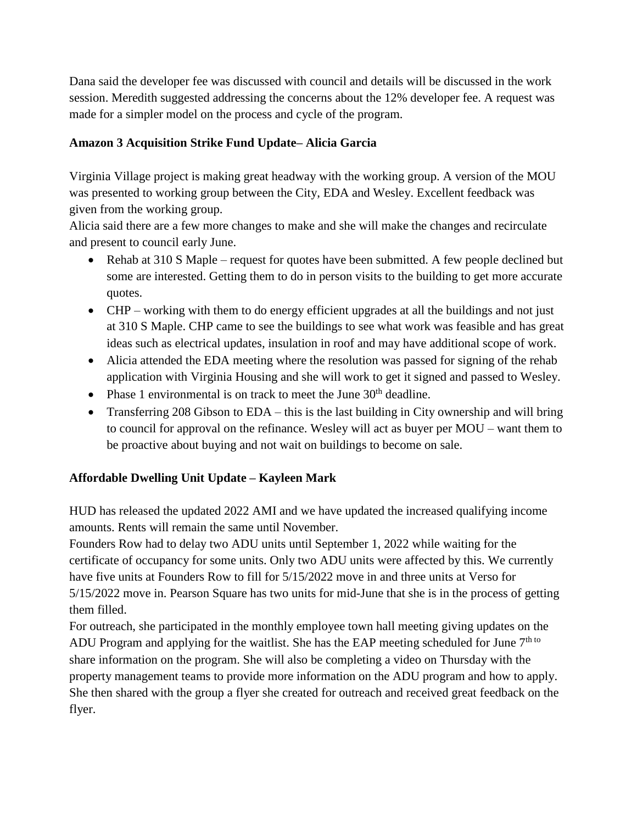Dana said the developer fee was discussed with council and details will be discussed in the work session. Meredith suggested addressing the concerns about the 12% developer fee. A request was made for a simpler model on the process and cycle of the program.

## **Amazon 3 Acquisition Strike Fund Update– Alicia Garcia**

Virginia Village project is making great headway with the working group. A version of the MOU was presented to working group between the City, EDA and Wesley. Excellent feedback was given from the working group.

Alicia said there are a few more changes to make and she will make the changes and recirculate and present to council early June.

- Rehab at 310 S Maple request for quotes have been submitted. A few people declined but some are interested. Getting them to do in person visits to the building to get more accurate quotes.
- CHP working with them to do energy efficient upgrades at all the buildings and not just at 310 S Maple. CHP came to see the buildings to see what work was feasible and has great ideas such as electrical updates, insulation in roof and may have additional scope of work.
- Alicia attended the EDA meeting where the resolution was passed for signing of the rehab application with Virginia Housing and she will work to get it signed and passed to Wesley.
- Phase 1 environmental is on track to meet the June  $30<sup>th</sup>$  deadline.
- Transferring 208 Gibson to EDA this is the last building in City ownership and will bring to council for approval on the refinance. Wesley will act as buyer per MOU – want them to be proactive about buying and not wait on buildings to become on sale.

## **Affordable Dwelling Unit Update – Kayleen Mark**

HUD has released the updated 2022 AMI and we have updated the increased qualifying income amounts. Rents will remain the same until November.

Founders Row had to delay two ADU units until September 1, 2022 while waiting for the certificate of occupancy for some units. Only two ADU units were affected by this. We currently have five units at Founders Row to fill for 5/15/2022 move in and three units at Verso for 5/15/2022 move in. Pearson Square has two units for mid-June that she is in the process of getting them filled.

For outreach, she participated in the monthly employee town hall meeting giving updates on the ADU Program and applying for the waitlist. She has the EAP meeting scheduled for June  $7<sup>th to</sup>$ share information on the program. She will also be completing a video on Thursday with the property management teams to provide more information on the ADU program and how to apply. She then shared with the group a flyer she created for outreach and received great feedback on the flyer.